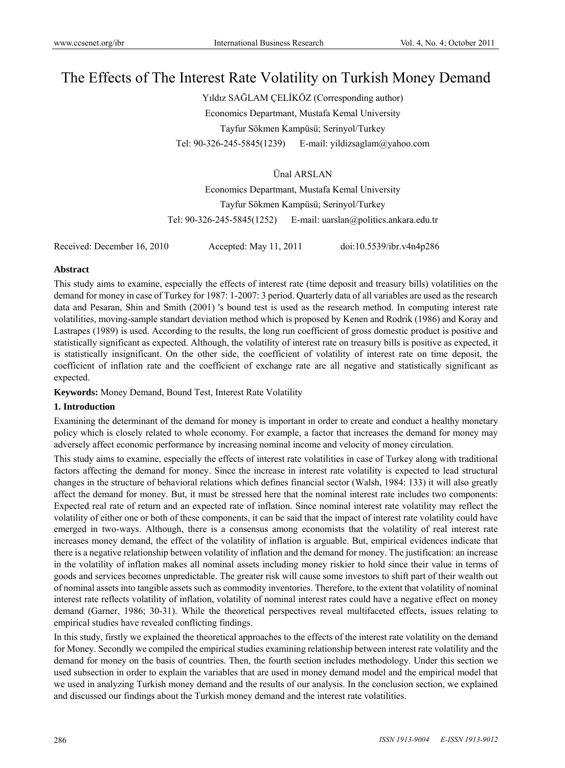# The Effects of The Interest Rate Volatility on Turkish Money Demand

Yıldız SAĞLAM ÇELİKÖZ (Corresponding author) Economics Departmant, Mustafa Kemal University Tayfur Sökmen Kampüsü; Serinyol/Turkey Tel: 90-326-245-5845(1239) E-mail: yildizsaglam@yahoo.com

Ünal ARSLAN

Economics Departmant, Mustafa Kemal University

Tayfur Sökmen Kampüsü; Serinyol/Turkey

Tel: 90-326-245-5845(1252) E-mail: uarslan@politics.ankara.edu.tr

Received: December 16, 2010 Accepted: May 11, 2011 doi:10.5539/ibr.v4n4p286

# **Abstract**

This study aims to examine, especially the effects of interest rate (time deposit and treasury bills) volatilities on the demand for money in case of Turkey for 1987: 1-2007: 3 period. Quarterly data of all variables are used as the research data and Pesaran, Shin and Smith (2001) 's bound test is used as the research method. In computing interest rate volatilities, moving-sample standart deviation method which is proposed by Kenen and Rodrik (1986) and Koray and Lastrapes (1989) is used. According to the results, the long run coefficient of gross domestic product is positive and statistically significant as expected. Although, the volatility of interest rate on treasury bills is positive as expected, it is statistically insignificant. On the other side, the coefficient of volatility of interest rate on time deposit, the coefficient of inflation rate and the coefficient of exchange rate are all negative and statistically significant as expected.

**Keywords:** Money Demand, Bound Test, Interest Rate Volatility

# **1. Introduction**

Examining the determinant of the demand for money is important in order to create and conduct a healthy monetary policy which is closely related to whole economy. For example, a factor that increases the demand for money may adversely affect economic performance by increasing nominal income and velocity of money circulation.

This study aims to examine, especially the effects of interest rate volatilities in case of Turkey along with traditional factors affecting the demand for money. Since the increase in interest rate volatility is expected to lead structural changes in the structure of behavioral relations which defines financial sector (Walsh, 1984: 133) it will also greatly affect the demand for money. But, it must be stressed here that the nominal interest rate includes two components: Expected real rate of return and an expected rate of inflation. Since nominal interest rate volatility may reflect the volatility of either one or both of these components, it can be said that the impact of interest rate volatility could have emerged in two-ways. Although, there is a consensus among economists that the volatility of real interest rate increases money demand, the effect of the volatility of inflation is arguable. But, empirical evidences indicate that there is a negative relationship between volatility of inflation and the demand for money. The justification: an increase in the volatility of inflation makes all nominal assets including money riskier to hold since their value in terms of goods and services becomes unpredictable. The greater risk will cause some investors to shift part of their wealth out of nominal assets into tangible assets such as commodity inventories. Therefore, to the extent that volatility of nominal interest rate reflects volatility of inflation, volatility of nominal interest rates could have a negative effect on money demand (Garner, 1986; 30-31). While the theoretical perspectives reveal multifaceted effects, issues relating to empirical studies have revealed conflicting findings.

In this study, firstly we explained the theoretical approaches to the effects of the interest rate volatility on the demand for Money. Secondly we compiled the empirical studies examining relationship between interest rate volatility and the demand for money on the basis of countries. Then, the fourth section includes methodology. Under this section we used subsection in order to explain the variables that are used in money demand model and the empirical model that we used in analyzing Turkish money demand and the results of our analysis. In the conclusion section, we explained and discussed our findings about the Turkish money demand and the interest rate volatilities.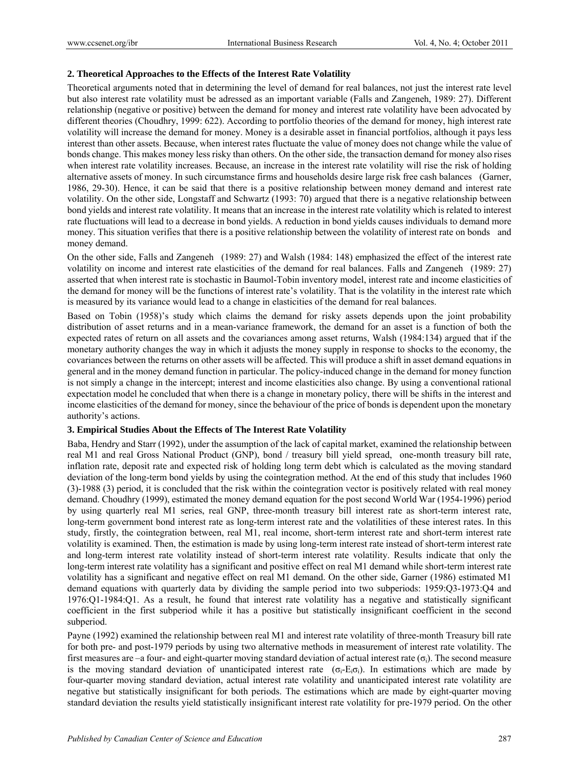# **2. Theoretical Approaches to the Effects of the Interest Rate Volatility**

Theoretical arguments noted that in determining the level of demand for real balances, not just the interest rate level but also interest rate volatility must be adressed as an important variable (Falls and Zangeneh, 1989: 27). Different relationship (negative or positive) between the demand for money and interest rate volatility have been advocated by different theories (Choudhry, 1999: 622). According to portfolio theories of the demand for money, high interest rate volatility will increase the demand for money. Money is a desirable asset in financial portfolios, although it pays less interest than other assets. Because, when interest rates fluctuate the value of money does not change while the value of bonds change. This makes money less risky than others. On the other side, the transaction demand for money also rises when interest rate volatility increases. Because, an increase in the interest rate volatility will rise the risk of holding alternative assets of money. In such circumstance firms and households desire large risk free cash balances (Garner, 1986, 29-30). Hence, it can be said that there is a positive relationship between money demand and interest rate volatility. On the other side, Longstaff and Schwartz (1993: 70) argued that there is a negative relationship between bond yields and interest rate volatility. It means that an increase in the interest rate volatility which is related to interest rate fluctuations will lead to a decrease in bond yields. A reduction in bond yields causes individuals to demand more money. This situation verifies that there is a positive relationship between the volatility of interest rate on bonds and money demand.

On the other side, Falls and Zangeneh (1989: 27) and Walsh (1984: 148) emphasized the effect of the interest rate volatility on income and interest rate elasticities of the demand for real balances. Falls and Zangeneh (1989: 27) asserted that when interest rate is stochastic in Baumol-Tobin inventory model, interest rate and income elasticities of the demand for money will be the functions of interest rate's volatility. That is the volatility in the interest rate which is measured by its variance would lead to a change in elasticities of the demand for real balances.

Based on Tobin (1958)'s study which claims the demand for risky assets depends upon the joint probability distribution of asset returns and in a mean-variance framework, the demand for an asset is a function of both the expected rates of return on all assets and the covariances among asset returns, Walsh (1984:134) argued that if the monetary authority changes the way in which it adjusts the money supply in response to shocks to the economy, the covariances between the returns on other assets will be affected. This will produce a shift in asset demand equations in general and in the money demand function in particular. The policy-induced change in the demand for money function is not simply a change in the intercept; interest and income elasticities also change. By using a conventional rational expectation model he concluded that when there is a change in monetary policy, there will be shifts in the interest and income elasticities of the demand for money, since the behaviour of the price of bonds is dependent upon the monetary authority's actions.

#### **3. Empirical Studies About the Effects of The Interest Rate Volatility**

Baba, Hendry and Starr (1992), under the assumption of the lack of capital market, examined the relationship between real M1 and real Gross National Product (GNP), bond / treasury bill yield spread, one-month treasury bill rate, inflation rate, deposit rate and expected risk of holding long term debt which is calculated as the moving standard deviation of the long-term bond yields by using the cointegration method. At the end of this study that includes 1960 (3)-1988 (3) period, it is concluded that the risk within the cointegration vector is positively related with real money demand. Choudhry (1999), estimated the money demand equation for the post second World War (1954-1996) period by using quarterly real M1 series, real GNP, three-month treasury bill interest rate as short-term interest rate, long-term government bond interest rate as long-term interest rate and the volatilities of these interest rates. In this study, firstly, the cointegration between, real M1, real income, short-term interest rate and short-term interest rate volatility is examined. Then, the estimation is made by using long-term interest rate instead of short-term interest rate and long-term interest rate volatility instead of short-term interest rate volatility. Results indicate that only the long-term interest rate volatility has a significant and positive effect on real M1 demand while short-term interest rate volatility has a significant and negative effect on real M1 demand. On the other side, Garner (1986) estimated M1 demand equations with quarterly data by dividing the sample period into two subperiods: 1959:Q3-1973:Q4 and 1976:Q1-1984:Q1. As a result, he found that interest rate volatility has a negative and statistically significant coefficient in the first subperiod while it has a positive but statistically insignificant coefficient in the second subperiod.

Payne (1992) examined the relationship between real M1 and interest rate volatility of three-month Treasury bill rate for both pre- and post-1979 periods by using two alternative methods in measurement of interest rate volatility. The first measures are –a four- and eight-quarter moving standard deviation of actual interest rate ( $\sigma_i$ ). The second measure is the moving standard deviation of unanticipated interest rate  $(\sigma_i - E_i \sigma_i)$ . In estimations which are made by four-quarter moving standard deviation, actual interest rate volatility and unanticipated interest rate volatility are negative but statistically insignificant for both periods. The estimations which are made by eight-quarter moving standard deviation the results yield statistically insignificant interest rate volatility for pre-1979 period. On the other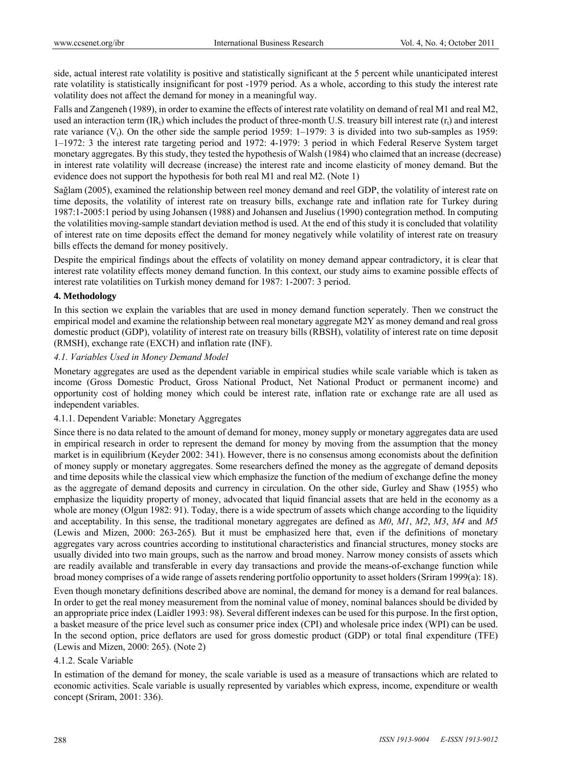side, actual interest rate volatility is positive and statistically significant at the 5 percent while unanticipated interest rate volatility is statistically insignificant for post -1979 period. As a whole, according to this study the interest rate volatility does not affect the demand for money in a meaningful way.

Falls and Zangeneh (1989), in order to examine the effects of interest rate volatility on demand of real M1 and real M2, used an interaction term  $(IR_t)$  which includes the product of three-month U.S. treasury bill interest rate  $(r_t)$  and interest rate variance  $(V<sub>t</sub>)$ . On the other side the sample period 1959: 1–1979: 3 is divided into two sub-samples as 1959: 1–1972: 3 the interest rate targeting period and 1972: 4-1979: 3 period in which Federal Reserve System target monetary aggregates. By this study, they tested the hypothesis of Walsh (1984) who claimed that an increase (decrease) in interest rate volatility will decrease (increase) the interest rate and income elasticity of money demand. But the evidence does not support the hypothesis for both real M1 and real M2. (Note 1)

Sağlam (2005), examined the relationship between reel money demand and reel GDP, the volatility of interest rate on time deposits, the volatility of interest rate on treasury bills, exchange rate and inflation rate for Turkey during 1987:1-2005:1 period by using Johansen (1988) and Johansen and Juselius (1990) contegration method. In computing the volatilities moving-sample standart deviation method is used. At the end of this study it is concluded that volatility of interest rate on time deposits effect the demand for money negatively while volatility of interest rate on treasury bills effects the demand for money positively.

Despite the empirical findings about the effects of volatility on money demand appear contradictory, it is clear that interest rate volatility effects money demand function. In this context, our study aims to examine possible effects of interest rate volatilities on Turkish money demand for 1987: 1-2007: 3 period.

# **4. Methodology**

In this section we explain the variables that are used in money demand function seperately. Then we construct the empirical model and examine the relationship between real monetary aggregate M2Y as money demand and real gross domestic product (GDP), volatility of interest rate on treasury bills (RBSH), volatility of interest rate on time deposit (RMSH), exchange rate (EXCH) and inflation rate (INF).

# *4.1. Variables Used in Money Demand Model*

Monetary aggregates are used as the dependent variable in empirical studies while scale variable which is taken as income (Gross Domestic Product, Gross National Product, Net National Product or permanent income) and opportunity cost of holding money which could be interest rate, inflation rate or exchange rate are all used as independent variables.

# 4.1.1. Dependent Variable: Monetary Aggregates

Since there is no data related to the amount of demand for money, money supply or monetary aggregates data are used in empirical research in order to represent the demand for money by moving from the assumption that the money market is in equilibrium (Keyder 2002: 341). However, there is no consensus among economists about the definition of money supply or monetary aggregates. Some researchers defined the money as the aggregate of demand deposits and time deposits while the classical view which emphasize the function of the medium of exchange define the money as the aggregate of demand deposits and currency in circulation. On the other side, Gurley and Shaw (1955) who emphasize the liquidity property of money, advocated that liquid financial assets that are held in the economy as a whole are money (Olgun 1982: 91). Today, there is a wide spectrum of assets which change according to the liquidity and acceptability. In this sense, the traditional monetary aggregates are defined as *M0*, *M1*, *M2*, *M3*, *M4* and *M5*  (Lewis and Mizen, 2000: 263-265)*.* But it must be emphasized here that, even if the definitions of monetary aggregates vary across countries according to institutional characteristics and financial structures, money stocks are usually divided into two main groups, such as the narrow and broad money. Narrow money consists of assets which are readily available and transferable in every day transactions and provide the means-of-exchange function while broad money comprises of a wide range of assets rendering portfolio opportunity to asset holders (Sriram 1999(a): 18).

Even though monetary definitions described above are nominal, the demand for money is a demand for real balances. In order to get the real money measurement from the nominal value of money, nominal balances should be divided by an appropriate price index (Laidler 1993: 98). Several different indexes can be used for this purpose. In the first option, a basket measure of the price level such as consumer price index (CPI) and wholesale price index (WPI) can be used. In the second option, price deflators are used for gross domestic product (GDP) or total final expenditure (TFE) (Lewis and Mizen, 2000: 265). (Note 2)

#### 4.1.2. Scale Variable

In estimation of the demand for money, the scale variable is used as a measure of transactions which are related to economic activities. Scale variable is usually represented by variables which express, income, expenditure or wealth concept (Sriram, 2001: 336).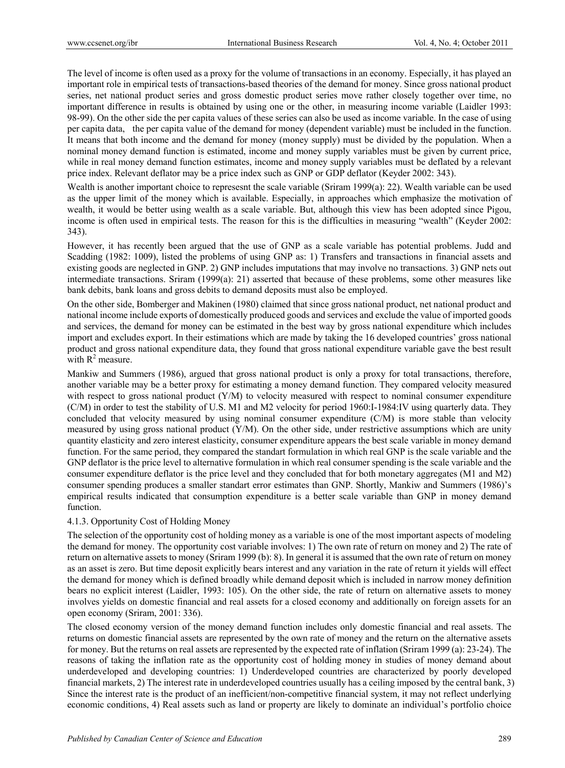The level of income is often used as a proxy for the volume of transactions in an economy. Especially, it has played an important role in empirical tests of transactions-based theories of the demand for money. Since gross national product series, net national product series and gross domestic product series move rather closely together over time, no important difference in results is obtained by using one or the other, in measuring income variable (Laidler 1993: 98-99). On the other side the per capita values of these series can also be used as income variable. In the case of using per capita data, the per capita value of the demand for money (dependent variable) must be included in the function. It means that both income and the demand for money (money supply) must be divided by the population. When a nominal money demand function is estimated, income and money supply variables must be given by current price, while in real money demand function estimates, income and money supply variables must be deflated by a relevant price index. Relevant deflator may be a price index such as GNP or GDP deflator (Keyder 2002: 343).

Wealth is another important choice to represesnt the scale variable (Sriram 1999(a): 22). Wealth variable can be used as the upper limit of the money which is available. Especially, in approaches which emphasize the motivation of wealth, it would be better using wealth as a scale variable. But, although this view has been adopted since Pigou, income is often used in empirical tests. The reason for this is the difficulties in measuring "wealth" (Keyder 2002: 343).

However, it has recently been argued that the use of GNP as a scale variable has potential problems. Judd and Scadding (1982: 1009), listed the problems of using GNP as: 1) Transfers and transactions in financial assets and existing goods are neglected in GNP. 2) GNP includes imputations that may involve no transactions. 3) GNP nets out intermediate transactions. Sriram (1999(a): 21) asserted that because of these problems, some other measures like bank debits, bank loans and gross debits to demand deposits must also be employed.

On the other side, Bomberger and Makinen (1980) claimed that since gross national product, net national product and national income include exports of domestically produced goods and services and exclude the value of imported goods and services, the demand for money can be estimated in the best way by gross national expenditure which includes import and excludes export. In their estimations which are made by taking the 16 developed countries' gross national product and gross national expenditure data, they found that gross national expenditure variable gave the best result with  $R^2$  measure.

Mankiw and Summers (1986), argued that gross national product is only a proxy for total transactions, therefore, another variable may be a better proxy for estimating a money demand function. They compared velocity measured with respect to gross national product (Y/M) to velocity measured with respect to nominal consumer expenditure (C/M) in order to test the stability of U.S. M1 and M2 velocity for period 1960:I-1984:IV using quarterly data. They concluded that velocity measured by using nominal consumer expenditure (C/M) is more stable than velocity measured by using gross national product (Y/M). On the other side, under restrictive assumptions which are unity quantity elasticity and zero interest elasticity, consumer expenditure appears the best scale variable in money demand function. For the same period, they compared the standart formulation in which real GNP is the scale variable and the GNP deflator is the price level to alternative formulation in which real consumer spending is the scale variable and the consumer expenditure deflator is the price level and they concluded that for both monetary aggregates (M1 and M2) consumer spending produces a smaller standart error estimates than GNP. Shortly, Mankiw and Summers (1986)'s empirical results indicated that consumption expenditure is a better scale variable than GNP in money demand function.

# 4.1.3. Opportunity Cost of Holding Money

The selection of the opportunity cost of holding money as a variable is one of the most important aspects of modeling the demand for money. The opportunity cost variable involves: 1) The own rate of return on money and 2) The rate of return on alternative assets to money (Sriram 1999 (b): 8). In general it is assumed that the own rate of return on money as an asset is zero. But time deposit explicitly bears interest and any variation in the rate of return it yields will effect the demand for money which is defined broadly while demand deposit which is included in narrow money definition bears no explicit interest (Laidler, 1993: 105). On the other side, the rate of return on alternative assets to money involves yields on domestic financial and real assets for a closed economy and additionally on foreign assets for an open economy (Sriram, 2001: 336).

The closed economy version of the money demand function includes only domestic financial and real assets. The returns on domestic financial assets are represented by the own rate of money and the return on the alternative assets for money. But the returns on real assets are represented by the expected rate of inflation (Sriram 1999 (a): 23-24). The reasons of taking the inflation rate as the opportunity cost of holding money in studies of money demand about underdeveloped and developing countries: 1) Underdeveloped countries are characterized by poorly developed financial markets, 2) The interest rate in underdeveloped countries usually has a ceiling imposed by the central bank, 3) Since the interest rate is the product of an inefficient/non-competitive financial system, it may not reflect underlying economic conditions, 4) Real assets such as land or property are likely to dominate an individual's portfolio choice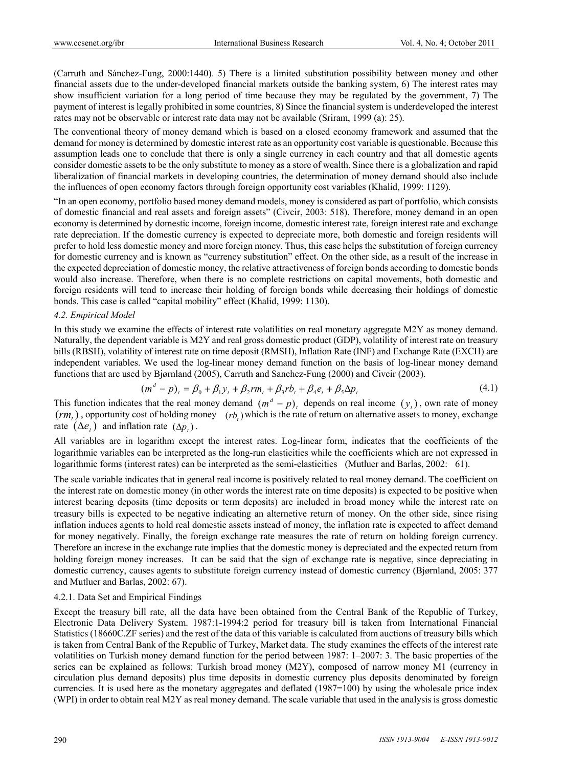(Carruth and Sánchez-Fung, 2000:1440). 5) There is a limited substitution possibility between money and other financial assets due to the under-developed financial markets outside the banking system, 6) The interest rates may show insufficient variation for a long period of time because they may be regulated by the government, 7) The payment of interest is legally prohibited in some countries, 8) Since the financial system is underdeveloped the interest rates may not be observable or interest rate data may not be available (Sriram, 1999 (a): 25).

The conventional theory of money demand which is based on a closed economy framework and assumed that the demand for money is determined by domestic interest rate as an opportunity cost variable is questionable. Because this assumption leads one to conclude that there is only a single currency in each country and that all domestic agents consider domestic assets to be the only substitute to money as a store of wealth. Since there is a globalization and rapid liberalization of financial markets in developing countries, the determination of money demand should also include the influences of open economy factors through foreign opportunity cost variables (Khalid, 1999: 1129).

"In an open economy, portfolio based money demand models, money is considered as part of portfolio, which consists of domestic financial and real assets and foreign assets" (Civcir, 2003: 518). Therefore, money demand in an open economy is determined by domestic income, foreign income, domestic interest rate, foreign interest rate and exchange rate depreciation. If the domestic currency is expected to depreciate more, both domestic and foreign residents will prefer to hold less domestic money and more foreign money. Thus, this case helps the substitution of foreign currency for domestic currency and is known as "currency substitution" effect. On the other side, as a result of the increase in the expected depreciation of domestic money, the relative attractiveness of foreign bonds according to domestic bonds would also increase. Therefore, when there is no complete restrictions on capital movements, both domestic and foreign residents will tend to increase their holding of foreign bonds while decreasing their holdings of domestic bonds. This case is called "capital mobility" effect (Khalid, 1999: 1130).

# *4.2. Empirical Model*

In this study we examine the effects of interest rate volatilities on real monetary aggregate M2Y as money demand. Naturally, the dependent variable is M2Y and real gross domestic product (GDP), volatility of interest rate on treasury bills (RBSH), volatility of interest rate on time deposit (RMSH), Inflation Rate (INF) and Exchange Rate (EXCH) are independent variables. We used the log-linear money demand function on the basis of log-linear money demand functions that are used by Bjørnland (2005), Carruth and Sanchez-Fung (2000) and Civcir (2003).

$$
(md - p)t = \beta_0 + \beta_1 y_t + \beta_2 r m_t + \beta_3 r b_t + \beta_4 e_t + \beta_5 \Delta p_t
$$
 (4.1)

This function indicates that the real money demand  $(m^d - p)$ , depends on real income  $(y<sub>t</sub>)$ , own rate of money  $(rm_t)$ , opportunity cost of holding money  $(rb_t)$  which is the rate of return on alternative assets to money, exchange rate  $(\Delta e_t)$  and inflation rate  $(\Delta p_t)$ .

All variables are in logarithm except the interest rates. Log-linear form, indicates that the coefficients of the logarithmic variables can be interpreted as the long-run elasticities while the coefficients which are not expressed in logarithmic forms (interest rates) can be interpreted as the semi-elasticities (Mutluer and Barlas, 2002: 61).

The scale variable indicates that in general real income is positively related to real money demand. The coefficient on the interest rate on domestic money (in other words the interest rate on time deposits) is expected to be positive when interest bearing deposits (time deposits or term deposits) are included in broad money while the interest rate on treasury bills is expected to be negative indicating an alternetive return of money. On the other side, since rising inflation induces agents to hold real domestic assets instead of money, the inflation rate is expected to affect demand for money negatively. Finally, the foreign exchange rate measures the rate of return on holding foreign currency. Therefore an increse in the exchange rate implies that the domestic money is depreciated and the expected return from holding foreign money increases. It can be said that the sign of exchange rate is negative, since depreciating in domestic currency, causes agents to substitute foreign currency instead of domestic currency (Bjørnland, 2005: 377 and Mutluer and Barlas, 2002: 67).

# 4.2.1. Data Set and Empirical Findings

Except the treasury bill rate, all the data have been obtained from the Central Bank of the Republic of Turkey, Electronic Data Delivery System. 1987:1-1994:2 period for treasury bill is taken from International Financial Statistics (18660C.ZF series) and the rest of the data of this variable is calculated from auctions of treasury bills which is taken from Central Bank of the Republic of Turkey, Market data. The study examines the effects of the interest rate volatilities on Turkish money demand function for the period between 1987: 1–2007: 3. The basic properties of the series can be explained as follows: Turkish broad money (M2Y), composed of narrow money M1 (currency in circulation plus demand deposits) plus time deposits in domestic currency plus deposits denominated by foreign currencies. It is used here as the monetary aggregates and deflated (1987=100) by using the wholesale price index (WPI) in order to obtain real M2Y as real money demand. The scale variable that used in the analysis is gross domestic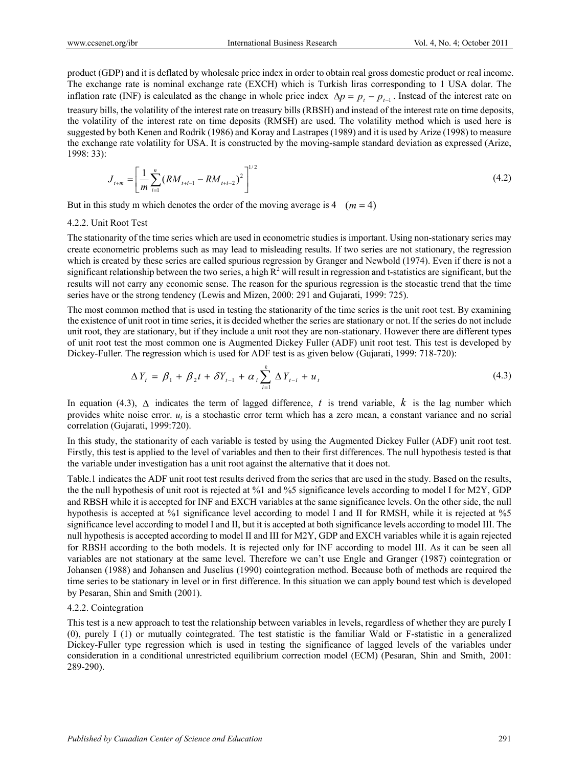product (GDP) and it is deflated by wholesale price index in order to obtain real gross domestic product or real income. The exchange rate is nominal exchange rate (EXCH) which is Turkish liras corresponding to 1 USA dolar. The inflation rate (INF) is calculated as the change in whole price index  $\Delta p = p_t - p_{t-1}$ . Instead of the interest rate on treasury bills, the volatility of the interest rate on treasury bills (RBSH) and instead of the interest rate on time deposits, the volatility of the interest rate on time deposits (RMSH) are used. The volatility method which is used here is suggested by both Kenen and Rodrik (1986) and Koray and Lastrapes (1989) and it is used by Arize (1998) to measure the exchange rate volatility for USA. It is constructed by the moving-sample standard deviation as expressed (Arize, 1998: 33):

$$
J_{t+m} = \left[\frac{1}{m} \sum_{i=1}^{n} (RM_{t+i-1} - RM_{t+i-2})^2\right]^{1/2}
$$
\n(4.2)

But in this study m which denotes the order of the moving average is  $4$  ( $m = 4$ )

#### 4.2.2. Unit Root Test

The stationarity of the time series which are used in econometric studies is important. Using non-stationary series may create econometric problems such as may lead to misleading results. If two series are not stationary, the regression which is created by these series are called spurious regression by Granger and Newbold (1974). Even if there is not a significant relationship between the two series, a high  $R^2$  will result in regression and t-statistics are significant, but the results will not carry any economic sense. The reason for the spurious regression is the stocastic trend that the time series have or the strong tendency (Lewis and Mizen, 2000: 291 and Gujarati, 1999: 725).

The most common method that is used in testing the stationarity of the time series is the unit root test. By examining the existence of unit root in time series, it is decided whether the series are stationary or not. If the series do not include unit root, they are stationary, but if they include a unit root they are non-stationary. However there are different types of unit root test the most common one is Augmented Dickey Fuller (ADF) unit root test. This test is developed by Dickey-Fuller. The regression which is used for ADF test is as given below (Gujarati, 1999: 718-720):

$$
\Delta Y_{t} = \beta_{1} + \beta_{2}t + \delta Y_{t-1} + \alpha_{i} \sum_{i=1}^{k} \Delta Y_{t-i} + u_{t}
$$
\n(4.3)

In equation (4.3),  $\Delta$  indicates the term of lagged difference, *t* is trend variable, *k* is the lag number which provides white noise error. *ut* is a stochastic error term which has a zero mean, a constant variance and no serial correlation (Gujarati, 1999:720).

In this study, the stationarity of each variable is tested by using the Augmented Dickey Fuller (ADF) unit root test. Firstly, this test is applied to the level of variables and then to their first differences. The null hypothesis tested is that the variable under investigation has a unit root against the alternative that it does not.

Table.1 indicates the ADF unit root test results derived from the series that are used in the study. Based on the results, the the null hypothesis of unit root is rejected at %1 and %5 significance levels according to model I for M2Y, GDP and RBSH while it is accepted for INF and EXCH variables at the same significance levels. On the other side, the null hypothesis is accepted at %1 significance level according to model I and II for RMSH, while it is rejected at %5 significance level according to model I and II, but it is accepted at both significance levels according to model III. The null hypothesis is accepted according to model II and III for M2Y, GDP and EXCH variables while it is again rejected for RBSH according to the both models. It is rejected only for INF according to model III. As it can be seen all variables are not stationary at the same level. Therefore we can't use Engle and Granger (1987) cointegration or Johansen (1988) and Johansen and Juselius (1990) cointegration method. Because both of methods are required the time series to be stationary in level or in first difference. In this situation we can apply bound test which is developed by Pesaran, Shin and Smith (2001).

# 4.2.2. Cointegration

This test is a new approach to test the relationship between variables in levels, regardless of whether they are purely I (0), purely I (1) or mutually cointegrated. The test statistic is the familiar Wald or F-statistic in a generalized Dickey-Fuller type regression which is used in testing the significance of lagged levels of the variables under consideration in a conditional unrestricted equilibrium correction model (ECM) (Pesaran, Shin and Smith, 2001: 289-290).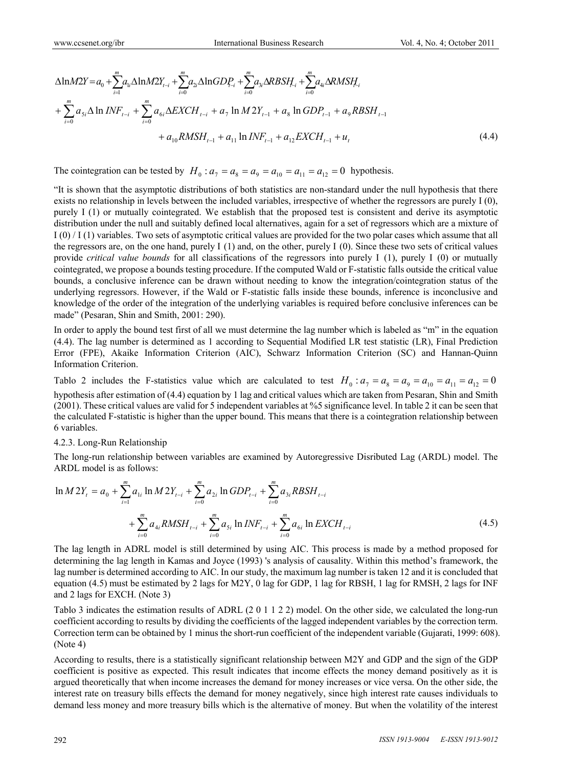$$
\Delta \ln M2Y = a_0 + \sum_{i=1}^{m} a_{1i} \Delta \ln M2Y_{t-i} + \sum_{i=0}^{m} a_{2i} \Delta \ln GDP_{t-i} + \sum_{i=0}^{m} a_{3i} \Delta RBSH_{t-i} + \sum_{i=0}^{m} a_{4i} \Delta RMSH_{t}
$$
  
+ 
$$
\sum_{i=0}^{m} a_{5i} \Delta \ln INF_{t-i} + \sum_{i=0}^{m} a_{6i} \Delta EXCH_{t-i} + a_7 \ln M2Y_{t-1} + a_8 \ln GDP_{t-1} + a_9 RBSH_{t-1}
$$
  
+ 
$$
a_{10} RMSH_{t-1} + a_{11} \ln INF_{t-1} + a_{12} EXCH_{t-1} + u_t
$$
 (4.4)

The cointegration can be tested by  $H_0: a_7 = a_8 = a_9 = a_{10} = a_{11} = a_{12} = 0$  hypothesis.

"It is shown that the asymptotic distributions of both statistics are non-standard under the null hypothesis that there exists no relationship in levels between the included variables, irrespective of whether the regressors are purely I (0), purely I (1) or mutually cointegrated. We establish that the proposed test is consistent and derive its asymptotic distribution under the null and suitably defined local alternatives, again for a set of regressors which are a mixture of I (0) / I (1) variables. Two sets of asymptotic critical values are provided for the two polar cases which assume that all the regressors are, on the one hand, purely I (1) and, on the other, purely I (0). Since these two sets of critical values provide *critical value bounds* for all classifications of the regressors into purely I (1), purely I (0) or mutually cointegrated, we propose a bounds testing procedure. If the computed Wald or F-statistic falls outside the critical value bounds, a conclusive inference can be drawn without needing to know the integration/cointegration status of the underlying regressors. However, if the Wald or F-statistic falls inside these bounds, inference is inconclusive and knowledge of the order of the integration of the underlying variables is required before conclusive inferences can be made" (Pesaran, Shin and Smith, 2001: 290).

In order to apply the bound test first of all we must determine the lag number which is labeled as "m" in the equation (4.4). The lag number is determined as 1 according to Sequential Modified LR test statistic (LR), Final Prediction Error (FPE), Akaike Information Criterion (AIC), Schwarz Information Criterion (SC) and Hannan-Quinn Information Criterion.

Tablo 2 includes the F-statistics value which are calculated to test  $H_0: a_7 = a_8 = a_9 = a_{10} = a_{11} = a_{12} = 0$ hypothesis after estimation of (4.4) equation by 1 lag and critical values which are taken from Pesaran, Shin and Smith (2001). These critical values are valid for 5 independent variables at %5 significance level. In table 2 it can be seen that the calculated F-statistic is higher than the upper bound. This means that there is a cointegration relationship between 6 variables.

#### 4.2.3. Long-Run Relationship

The long-run relationship between variables are examined by Autoregressive Disributed Lag (ARDL) model. The ARDL model is as follows:

$$
\ln M 2Y_{t} = a_{0} + \sum_{i=1}^{m} a_{1i} \ln M 2Y_{t-i} + \sum_{i=0}^{m} a_{2i} \ln GDP_{t-i} + \sum_{i=0}^{m} a_{3i} RBSH_{t-i} + \sum_{i=0}^{m} a_{4i} RMSH_{t-i} + \sum_{i=0}^{m} a_{5i} \ln INF_{t-i} + \sum_{i=0}^{m} a_{6i} \ln EXCH_{t-i}
$$
\n(4.5)

The lag length in ADRL model is still determined by using AIC. This process is made by a method proposed for determining the lag length in Kamas and Joyce (1993) 's analysis of causality. Within this method's framework, the lag number is determined according to AIC. In our study, the maximum lag number is taken 12 and it is concluded that equation (4.5) must be estimated by 2 lags for M2Y, 0 lag for GDP, 1 lag for RBSH, 1 lag for RMSH, 2 lags for INF and 2 lags for EXCH. (Note 3)

Tablo 3 indicates the estimation results of ADRL (2 0 1 1 2 2) model. On the other side, we calculated the long-run coefficient according to results by dividing the coefficients of the lagged independent variables by the correction term. Correction term can be obtained by 1 minus the short-run coefficient of the independent variable (Gujarati, 1999: 608). (Note 4)

According to results, there is a statistically significant relationship between M2Y and GDP and the sign of the GDP coefficient is positive as expected. This result indicates that income effects the money demand positively as it is argued theoretically that when income increases the demand for money increases or vice versa. On the other side, the interest rate on treasury bills effects the demand for money negatively, since high interest rate causes individuals to demand less money and more treasury bills which is the alternative of money. But when the volatility of the interest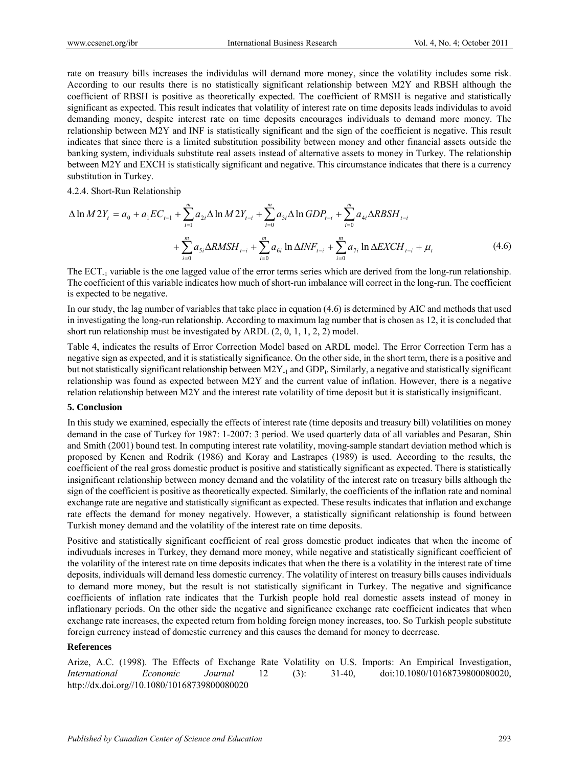rate on treasury bills increases the individulas will demand more money, since the volatility includes some risk. According to our results there is no statistically significant relationship between M2Y and RBSH although the coefficient of RBSH is positive as theoretically expected. The coefficient of RMSH is negative and statistically significant as expected. This result indicates that volatility of interest rate on time deposits leads individulas to avoid demanding money, despite interest rate on time deposits encourages individuals to demand more money. The relationship between M2Y and INF is statistically significant and the sign of the coefficient is negative. This result indicates that since there is a limited substitution possibility between money and other financial assets outside the banking system, individuals substitute real assets instead of alternative assets to money in Turkey. The relationship between M2Y and EXCH is statistically significant and negative. This circumstance indicates that there is a currency substitution in Turkey.

4.2.4. Short-Run Relationship

$$
\Delta \ln M 2Y_t = a_0 + a_1 EC_{t-1} + \sum_{i=1}^m a_{2i} \Delta \ln M 2Y_{t-i} + \sum_{i=0}^m a_{3i} \Delta \ln GDP_{t-i} + \sum_{i=0}^m a_{4i} \Delta RBSH_{t-i} + \sum_{i=0}^m a_{5i} \Delta RMSH_{t-i} + \sum_{i=0}^m a_{6i} \ln \Delta INF_{t-i} + \sum_{i=0}^m a_{7i} \ln \Delta EXCH_{t-i} + \mu_t
$$
\n(4.6)

The ECT<sub>-1</sub> variable is the one lagged value of the error terms series which are derived from the long-run relationship. The coefficient of this variable indicates how much of short-run imbalance will correct in the long-run. The coefficient is expected to be negative.

In our study, the lag number of variables that take place in equation (4.6) is determined by AIC and methods that used in investigating the long-run relationship. According to maximum lag number that is chosen as 12, it is concluded that short run relationship must be investigated by ARDL (2, 0, 1, 1, 2, 2) model.

Table 4, indicates the results of Error Correction Model based on ARDL model. The Error Correction Term has a negative sign as expected, and it is statistically significance. On the other side, in the short term, there is a positive and but not statistically significant relationship between M2Y<sub>-1</sub> and GDP<sub>t</sub>. Similarly, a negative and statistically significant relationship was found as expected between M2Y and the current value of inflation. However, there is a negative relation relationship between M2Y and the interest rate volatility of time deposit but it is statistically insignificant.

# **5. Conclusion**

In this study we examined, especially the effects of interest rate (time deposits and treasury bill) volatilities on money demand in the case of Turkey for 1987: 1-2007: 3 period. We used quarterly data of all variables and Pesaran, Shin and Smith (2001) bound test. In computing interest rate volatility, moving-sample standart deviation method which is proposed by Kenen and Rodrik (1986) and Koray and Lastrapes (1989) is used. According to the results, the coefficient of the real gross domestic product is positive and statistically significant as expected. There is statistically insignificant relationship between money demand and the volatility of the interest rate on treasury bills although the sign of the coefficient is positive as theoretically expected. Similarly, the coefficients of the inflation rate and nominal exchange rate are negative and statistically significant as expected. These results indicates that inflation and exchange rate effects the demand for money negatively. However, a statistically significant relationship is found between Turkish money demand and the volatility of the interest rate on time deposits.

Positive and statistically significant coefficient of real gross domestic product indicates that when the income of indivuduals increses in Turkey, they demand more money, while negative and statistically significant coefficient of the volatility of the interest rate on time deposits indicates that when the there is a volatility in the interest rate of time deposits, individuals will demand less domestic currency. The volatility of interest on treasury bills causes individuals to demand more money, but the result is not statistically significant in Turkey. The negative and significance coefficients of inflation rate indicates that the Turkish people hold real domestic assets instead of money in inflationary periods. On the other side the negative and significance exchange rate coefficient indicates that when exchange rate increases, the expected return from holding foreign money increases, too. So Turkish people substitute foreign currency instead of domestic currency and this causes the demand for money to decrrease.

# **References**

Arize, A.C. (1998). The Effects of Exchange Rate Volatility on U.S. Imports: An Empirical Investigation, *International Economic Journal* 12 (3): 31-40, doi:10.1080/10168739800080020, http://dx.doi.org//10.1080/10168739800080020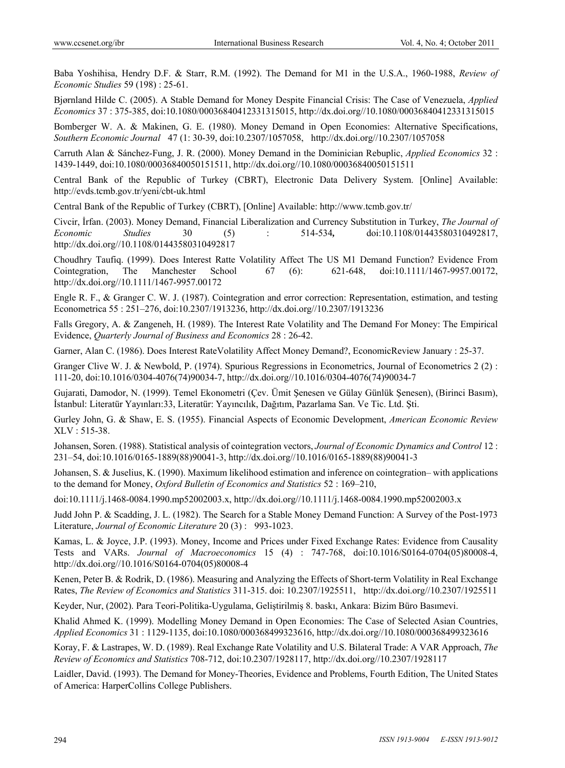Baba Yoshihisa, Hendry D.F. & Starr, R.M. (1992). The Demand for M1 in the U.S.A., 1960-1988, *Review of Economic Studies* 59 (198) : 25-61.

Bjørnland Hilde C. (2005). A Stable Demand for Money Despite Financial Crisis: The Case of Venezuela, *Applied Economics* 37 : 375-385, doi:10.1080/00036840412331315015, http://dx.doi.org//10.1080/00036840412331315015

Bomberger W. A. & Makinen, G. E. (1980). Money Demand in Open Economies: Alternative Specifications, *Southern Economic Journal* 47 (1: 30-39, doi:10.2307/1057058, http://dx.doi.org//10.2307/1057058

Carruth Alan & Sánchez-Fung, J. R. (2000). Money Demand in the Dominician Rebuplic, *Applied Economics* 32 : 1439-1449, doi:10.1080/00036840050151511, http://dx.doi.org//10.1080/00036840050151511

Central Bank of the Republic of Turkey (CBRT), Electronic Data Delivery System. [Online] Available: http://evds.tcmb.gov.tr/yeni/cbt-uk.html

Central Bank of the Republic of Turkey (CBRT), [Online] Available: http://www.tcmb.gov.tr/

Civcir, İrfan. (2003). Money Demand, Financial Liberalization and Currency Substitution in Turkey, *The Journal of Economic Studies* 30 (5) : 514-534*,* doi:10.1108/01443580310492817, http://dx.doi.org//10.1108/01443580310492817

Choudhry Taufiq. (1999). Does Interest Ratte Volatility Affect The US M1 Demand Function? Evidence From Cointegration, The Manchester School 67 (6): 621-648, doi:10.1111/1467-9957.00172, http://dx.doi.org//10.1111/1467-9957.00172

Engle R. F., & Granger C. W. J. (1987). Cointegration and error correction: Representation, estimation, and testing Econometrica 55 : 251–276, doi:10.2307/1913236, http://dx.doi.org//10.2307/1913236

Falls Gregory, A. & Zangeneh, H. (1989). The Interest Rate Volatility and The Demand For Money: The Empirical Evidence, *Quarterly Journal of Business and Economics* 28 : 26-42.

Garner, Alan C. (1986). Does Interest RateVolatility Affect Money Demand?, EconomicReview January : 25-37.

Granger Clive W. J. & Newbold, P. (1974). Spurious Regressions in Econometrics, Journal of Econometrics 2 (2) : 111-20, doi:10.1016/0304-4076(74)90034-7, http://dx.doi.org//10.1016/0304-4076(74)90034-7

Gujarati, Damodor, N. (1999). Temel Ekonometri (Çev. Ümit Şenesen ve Gülay Günlük Şenesen), (Birinci Basım), İstanbul: Literatür Yayınları:33, Literatür: Yayıncılık, Dağıtım, Pazarlama San. Ve Tic. Ltd. Şti.

Gurley John, G. & Shaw, E. S. (1955). Financial Aspects of Economic Development, *American Economic Review*  XLV : 515-38.

Johansen, Soren. (1988). Statistical analysis of cointegration vectors, *Journal of Economic Dynamics and Control* 12 : 231–54, doi:10.1016/0165-1889(88)90041-3, http://dx.doi.org//10.1016/0165-1889(88)90041-3

Johansen, S. & Juselius, K. (1990). Maximum likelihood estimation and inference on cointegration– with applications to the demand for Money, *Oxford Bulletin of Economics and Statistics* 52 : 169–210,

doi:10.1111/j.1468-0084.1990.mp52002003.x, http://dx.doi.org//10.1111/j.1468-0084.1990.mp52002003.x

Judd John P. & Scadding, J. L. (1982). The Search for a Stable Money Demand Function: A Survey of the Post-1973 Literature, *Journal of Economic Literature* 20 (3) : 993-1023.

Kamas, L. & Joyce, J.P. (1993). Money, Income and Prices under Fixed Exchange Rates: Evidence from Causality Tests and VARs. *Journal of Macroeconomics* 15 (4) : 747-768, doi:10.1016/S0164-0704(05)80008-4, http://dx.doi.org//10.1016/S0164-0704(05)80008-4

Kenen, Peter B. & Rodrik, D. (1986). Measuring and Analyzing the Effects of Short-term Volatility in Real Exchange Rates, *The Review of Economics and Statistics* 311-315. doi: 10.2307/1925511, http://dx.doi.org//10.2307/1925511

Keyder, Nur, (2002). Para Teori-Politika-Uygulama, Geliştirilmiş 8. baskı, Ankara: Bizim Büro Basımevi.

Khalid Ahmed K. (1999). Modelling Money Demand in Open Economies: The Case of Selected Asian Countries, *Applied Economics* 31 : 1129-1135, doi:10.1080/000368499323616, http://dx.doi.org//10.1080/000368499323616

Koray, F. & Lastrapes, W. D. (1989). Real Exchange Rate Volatility and U.S. Bilateral Trade: A VAR Approach, *The Review of Economics and Statistics* 708-712, doi:10.2307/1928117, http://dx.doi.org//10.2307/1928117

Laidler, David. (1993). The Demand for Money-Theories, Evidence and Problems, Fourth Edition, The United States of America: HarperCollins College Publishers.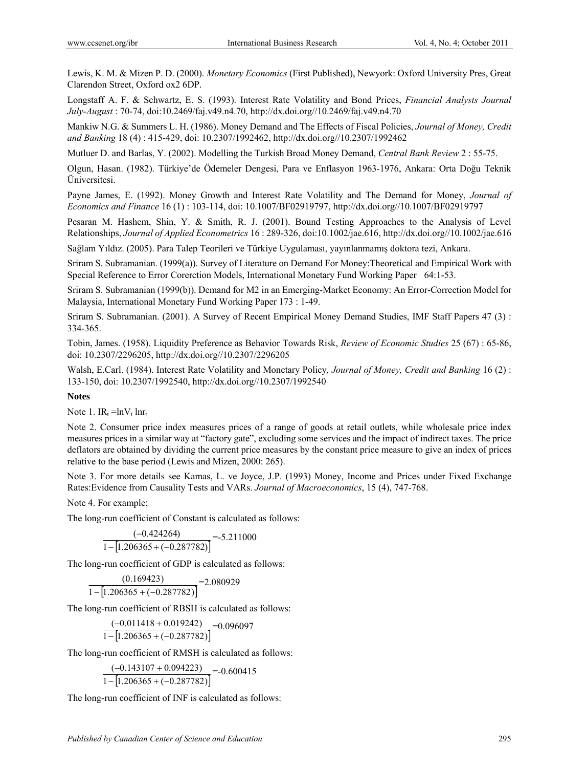Lewis, K. M. & Mizen P. D. (2000). *Monetary Economics* (First Published), Newyork: Oxford University Pres, Great Clarendon Street, Oxford ox2 6DP.

Longstaff A. F. & Schwartz, E. S. (1993). Interest Rate Volatility and Bond Prices, *Financial Analysts Journal July-August* : 70-74, doi:10.2469/faj.v49.n4.70, http://dx.doi.org//10.2469/faj.v49.n4.70

Mankiw N.G. & Summers L. H. (1986). Money Demand and The Effects of Fiscal Policies, *Journal of Money, Credit and Banking* 18 (4) : 415-429, doi: 10.2307/1992462, http://dx.doi.org//10.2307/1992462

Mutluer D. and Barlas, Y. (2002). Modelling the Turkish Broad Money Demand, *Central Bank Review* 2 : 55-75.

Olgun, Hasan. (1982). Türkiye'de Ödemeler Dengesi, Para ve Enflasyon 1963-1976, Ankara: Orta Doğu Teknik Üniversitesi.

Payne James, E. (1992). Money Growth and Interest Rate Volatility and The Demand for Money, *Journal of Economics and Finance* 16 (1) : 103-114, doi: 10.1007/BF02919797, http://dx.doi.org//10.1007/BF02919797

Pesaran M. Hashem, Shin, Y. & Smith, R. J. (2001). Bound Testing Approaches to the Analysis of Level Relationships, *Journal of Applied Econometrics* 16 : 289-326, doi:10.1002/jae.616, http://dx.doi.org//10.1002/jae.616

Sağlam Yıldız. (2005). Para Talep Teorileri ve Türkiye Uygulaması, yayınlanmamış doktora tezi, Ankara.

Sriram S. Subramanian. (1999(a)). Survey of Literature on Demand For Money:Theoretical and Empirical Work with Special Reference to Error Corerction Models, International Monetary Fund Working Paper 64:1-53.

Sriram S. Subramanian (1999(b)). Demand for M2 in an Emerging-Market Economy: An Error-Correction Model for Malaysia, International Monetary Fund Working Paper 173 : 1-49.

Sriram S. Subramanian. (2001). A Survey of Recent Empirical Money Demand Studies, IMF Staff Papers 47 (3) : 334-365.

Tobin, James. (1958). Liquidity Preference as Behavior Towards Risk, *Review of Economic Studies* 25 (67) : 65-86, doi: 10.2307/2296205, http://dx.doi.org//10.2307/2296205

Walsh, E.Carl. (1984). Interest Rate Volatility and Monetary Policy*, Journal of Money, Credit and Banking* 16 (2) : 133-150, doi: 10.2307/1992540, http://dx.doi.org//10.2307/1992540

# **Notes**

Note 1.  $IR_t = lnV_t lnr_t$ 

Note 2. Consumer price index measures prices of a range of goods at retail outlets, while wholesale price index measures prices in a similar way at "factory gate", excluding some services and the impact of indirect taxes. The price deflators are obtained by dividing the current price measures by the constant price measure to give an index of prices relative to the base period (Lewis and Mizen, 2000: 265).

Note 3. For more details see Kamas, L. ve Joyce, J.P. (1993) Money, Income and Prices under Fixed Exchange Rates:Evidence from Causality Tests and VARs. *Journal of Macroeconomics*, 15 (4), 747-768.

Note 4. For example;

The long-run coefficient of Constant is calculated as follows:

$$
\frac{(-0.424264)}{1 - [1.206365 + (-0.287782)]} = -5.211000
$$

The long-run coefficient of GDP is calculated as follows:

$$
\frac{(0.169423)}{1 - [1.206365 + (-0.287782)]} = 2.080929
$$

The long-run coefficient of RBSH is calculated as follows:

$$
\frac{(-0.011418 + 0.019242)}{1 - [1.206365 + (-0.287782)]} = 0.096097
$$

The long-run coefficient of RMSH is calculated as follows:

$$
\frac{(-0.143107 + 0.094223)}{1 - [1.206365 + (-0.287782)]} = 0.600415
$$

The long-run coefficient of INF is calculated as follows: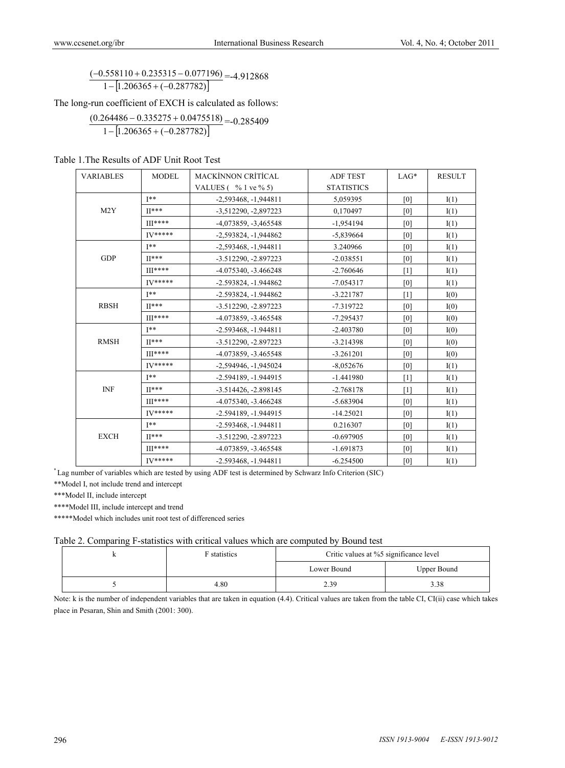$$
\frac{(-0.558110 + 0.235315 - 0.077196)}{1 - [1.206365 + (-0.287782)]} = -4.912868
$$

The long-run coefficient of EXCH is calculated as follows:

$$
\frac{(0.264486 - 0.335275 + 0.0475518)}{1 - [1.206365 + (-0.287782)]} = -0.285409
$$

Table 1.The Results of ADF Unit Root Test

| <b>VARIABLES</b> | <b>MODEL</b>    | <b>MACKÍNNON CRÍTÍCAL</b> | <b>ADF TEST</b>   | $LAG*$ | <b>RESULT</b> |
|------------------|-----------------|---------------------------|-------------------|--------|---------------|
|                  |                 | VALUES $($ % 1 ve % 5)    | <b>STATISTICS</b> |        |               |
|                  | $I^**$          | $-2,593468, -1,944811$    | 5,059395          | [0]    | I(1)          |
| M2Y              | $II***$         | $-3,512290, -2,897223$    | 0,170497          | [0]    | I(1)          |
|                  | $III***$        | -4,073859, -3,465548      | $-1,954194$       | [0]    | I(1)          |
|                  | $IV*****$       | $-2,593824, -1,944862$    | -5,839664         | [0]    | I(1)          |
|                  | $I^**$          | $-2,593468, -1,944811$    | 3.240966          | [0]    | I(1)          |
| <b>GDP</b>       | $II***$         | -3.512290, -2.897223      | $-2.038551$       | [0]    | I(1)          |
|                  | $III***$        | -4.075340, -3.466248      | $-2.760646$       | [1]    | I(1)          |
|                  | $IV*****$       | $-2.593824, -1.944862$    | $-7.054317$       | [0]    | I(1)          |
|                  | $I^**$          | $-2.593824, -1.944862$    | $-3.221787$       | [1]    | I(0)          |
| <b>RBSH</b>      | $II***$         | -3.512290, -2.897223      | $-7.319722$       | [0]    | I(0)          |
|                  | $III***$        | -4.073859, -3.465548      | $-7.295437$       | [0]    | I(0)          |
|                  | $I^**$          | $-2.593468, -1.944811$    | $-2.403780$       | [0]    | I(0)          |
| <b>RMSH</b>      | $II***$         | -3.512290, -2.897223      | $-3.214398$       | [0]    | I(0)          |
|                  | $III***$        | -4.073859, -3.465548      | $-3.261201$       | [0]    | I(0)          |
|                  | IV*****         | -2,594946, -1,945024      | $-8,052676$       | [0]    | I(1)          |
|                  | $I^**$          | -2.594189, -1.944915      | $-1.441980$       | [1]    | I(1)          |
| <b>INF</b>       | $II***$         | $-3.514426, -2.898145$    | $-2.768178$       | $[1]$  | I(1)          |
|                  | $III***$        | -4.075340, -3.466248      | $-5.683904$       | [0]    | I(1)          |
|                  | $IV*****$       | -2.594189, -1.944915      | $-14.25021$       | [0]    | I(1)          |
|                  | $I^**$          | $-2.593468, -1.944811$    | 0.216307          | [0]    | I(1)          |
| <b>EXCH</b>      | $II***$         | -3.512290, -2.897223      | $-0.697905$       | [0]    | I(1)          |
|                  | $\rm III^{***}$ | -4.073859, -3.465548      | $-1.691873$       | [0]    | I(1)          |
|                  | $IV*****$       | $-2.593468, -1.944811$    | $-6.254500$       | [0]    | I(1)          |

\* Lag number of variables which are tested by using ADF test is determined by Schwarz Info Criterion (SIC)

\*\*Model I, not include trend and intercept

\*\*\*Model II, include intercept

\*\*\*\*Model III, include intercept and trend

\*\*\*\*\*Model which includes unit root test of differenced series

# Table 2. Comparing F-statistics with critical values which are computed by Bound test

| F statistics | Critic values at %5 significance level |             |  |
|--------------|----------------------------------------|-------------|--|
|              | Lower Bound                            | Upper Bound |  |
| 4.80         | 2.39                                   |             |  |

Note: k is the number of independent variables that are taken in equation (4.4). Critical values are taken from the table CI, CI(ii) case which takes place in Pesaran, Shin and Smith (2001: 300).